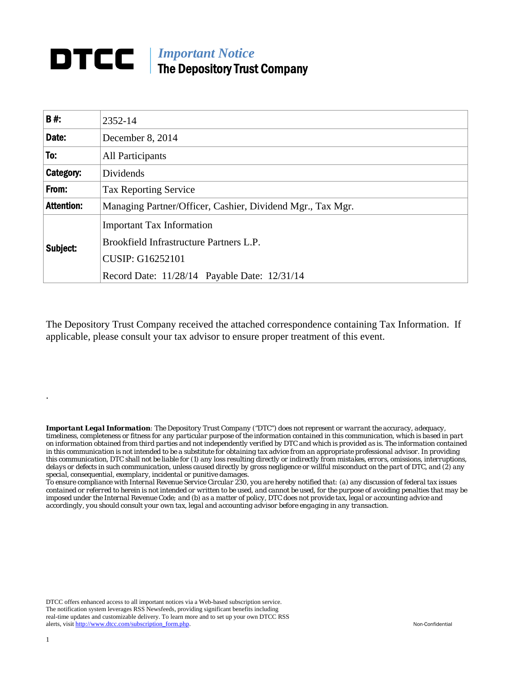## *Important Notice*  DTCC | The Depository Trust Company

| <b>B#:</b>        | 2352-14                                                                                                                                                |  |  |  |  |  |  |  |  |
|-------------------|--------------------------------------------------------------------------------------------------------------------------------------------------------|--|--|--|--|--|--|--|--|
| Date:             | December 8, 2014                                                                                                                                       |  |  |  |  |  |  |  |  |
| To:               | <b>All Participants</b>                                                                                                                                |  |  |  |  |  |  |  |  |
| Category:         | Dividends                                                                                                                                              |  |  |  |  |  |  |  |  |
| From:             | <b>Tax Reporting Service</b>                                                                                                                           |  |  |  |  |  |  |  |  |
| <b>Attention:</b> | Managing Partner/Officer, Cashier, Dividend Mgr., Tax Mgr.                                                                                             |  |  |  |  |  |  |  |  |
| Subject:          | <b>Important Tax Information</b><br>Brookfield Infrastructure Partners L.P.<br><b>CUSIP: G16252101</b><br>Record Date: 11/28/14 Payable Date: 12/31/14 |  |  |  |  |  |  |  |  |

The Depository Trust Company received the attached correspondence containing Tax Information. If applicable, please consult your tax advisor to ensure proper treatment of this event.

*Important Legal Information: The Depository Trust Company ("DTC") does not represent or warrant the accuracy, adequacy, timeliness, completeness or fitness for any particular purpose of the information contained in this communication, which is based in part on information obtained from third parties and not independently verified by DTC and which is provided as is. The information contained in this communication is not intended to be a substitute for obtaining tax advice from an appropriate professional advisor. In providing this communication, DTC shall not be liable for (1) any loss resulting directly or indirectly from mistakes, errors, omissions, interruptions, delays or defects in such communication, unless caused directly by gross negligence or willful misconduct on the part of DTC, and (2) any special, consequential, exemplary, incidental or punitive damages.* 

*To ensure compliance with Internal Revenue Service Circular 230, you are hereby notified that: (a) any discussion of federal tax issues contained or referred to herein is not intended or written to be used, and cannot be used, for the purpose of avoiding penalties that may be imposed under the Internal Revenue Code; and (b) as a matter of policy, DTC does not provide tax, legal or accounting advice and accordingly, you should consult your own tax, legal and accounting advisor before engaging in any transaction.*

DTCC offers enhanced access to all important notices via a Web-based subscription service. The notification system leverages RSS Newsfeeds, providing significant benefits including real-time updates and customizable delivery. To learn more and to set up your own DTCC RSS alerts, visit http://www.dtcc.com/subscription\_form.php. Non-Confidential

.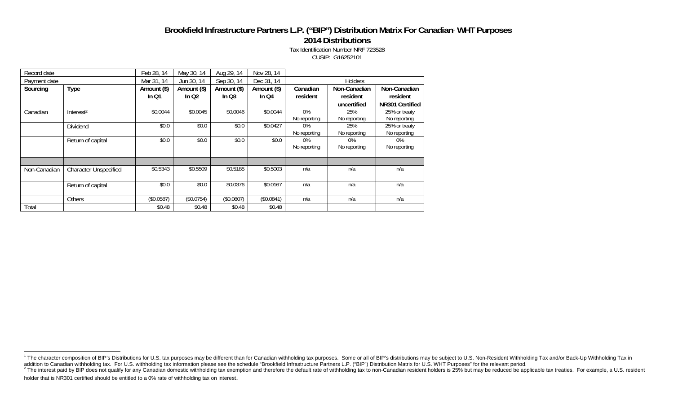## **Brookfield Infrastructure Partners L.P. ("BIP") Distribution Matrix For Canadian**1 **WHT Purposes**

**2014 Distributions** 

Tax Identification Number NRF 723528 CUSIP: G16252101

| Record date  |                              | Feb 28, 14  | May 30, 14  | Aug 29, 14  | Nov 28, 14  |                |              |                 |  |
|--------------|------------------------------|-------------|-------------|-------------|-------------|----------------|--------------|-----------------|--|
| Payment date |                              | Mar 31, 14  | Jun 30, 14  | Sep 30, 14  | Dec 31, 14  | <b>Holders</b> |              |                 |  |
| Sourcing     | <b>Type</b>                  | Amount (\$) | Amount (\$) | Amount (\$) | Amount (\$) | Canadian       | Non-Canadian | Non-Canadian    |  |
|              |                              | In $Q1$     | In $Q2$     | In $Q3$     | In $Q4$     | resident       | resident     | resident        |  |
|              |                              |             |             |             |             |                | uncertified  | NR301 Certified |  |
| Canadian     | Interest <sup>2</sup>        | \$0.0044    | \$0.0045    | \$0.0046    | \$0.0044    | $0\%$          | 25%          | 25% or treaty   |  |
|              |                              |             |             |             |             | No reporting   | No reporting | No reporting    |  |
|              | Dividend                     | \$0.0       | \$0.0\$     | \$0.0\$     | \$0.0427    | 0%             | 25%          | 25% or treaty   |  |
|              |                              |             |             |             |             | No reporting   | No reporting | No reporting    |  |
|              | Return of capital            | \$0.0       | \$0.0\$     | \$0.0       | \$0.0\$     | $0\%$          | $0\%$        | $0\%$           |  |
|              |                              |             |             |             |             | No reporting   | No reporting | No reporting    |  |
|              |                              |             |             |             |             |                |              |                 |  |
| Non-Canadian | <b>Character Unspecified</b> | \$0.5343    | \$0.5509    | \$0.5185    | \$0.5003    | n/a            | n/a          | n/a             |  |
|              |                              |             |             |             |             |                |              |                 |  |
|              | Return of capital            | \$0.0       | \$0.0\$     | \$0.0376    | \$0.0167    | n/a            | n/a          | n/a             |  |
|              |                              |             |             |             |             |                |              |                 |  |
|              | <b>Others</b>                | (\$0.0587)  | (\$0.0754)  | (\$0.0807)  | (\$0.0841)  | n/a            | n/a          | n/a             |  |
| Total        |                              | \$0.48      | \$0.48      | \$0.48      | \$0.48      |                |              |                 |  |

<sup>&</sup>lt;sup>1</sup> The character composition of BIP's Distributions for U.S. tax purposes may be different than for Canadian withholding tax purposes. Some or all of BIP's distributions may be subject to U.S. Non-Resident Withholding Tax

<sup>&</sup>lt;sup>2</sup> The interest paid by BIP does not qualify for any Canadian domestic withholding tax exemption and therefore the default rate of withholding tax to non-Canadian resident holders is 25% but may be reduced be applicable t holder that is NR301 certified should be entitled to a 0% rate of withholding tax on interest.